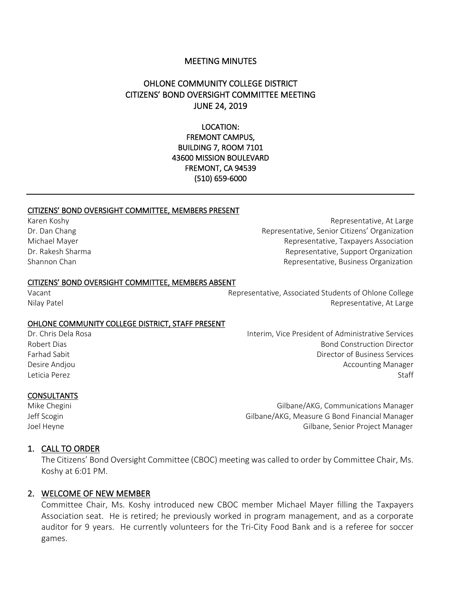#### MEETING MINUTES

# OHLONE COMMUNITY COLLEGE DISTRICT CITIZENS' BOND OVERSIGHT COMMITTEE MEETING JUNE 24, 2019

### LOCATION: FREMONT CAMPUS, BUILDING 7, ROOM 7101 43600 MISSION BOULEVARD FREMONT, CA 94539 (510) 659-6000

#### CITIZENS' BOND OVERSIGHT COMMITTEE, MEMBERS PRESENT

Karen Koshy Representative, At Large Dr. Dan Chang Representative, Senior Citizens' Organization Michael Mayer Representative, Taxpayers Association Dr. Rakesh Sharma **Representative, Support Organization** Shannon Chan **Representative, Business Organization** 

#### CITIZENS' BOND OVERSIGHT COMMITTEE, MEMBERS ABSENT

Vacant Representative, Associated Students of Ohlone College Nilay Patel Representative, At Large

#### OHLONE COMMUNITY COLLEGE DISTRICT, STAFF PRESENT

Dr. Chris Dela Rosa Interim, Vice President of Administrative Services

**CONSULTANTS** 

Robert Dias Bond Construction Director Farhad Sabit Director of Business Services Desire Andjou **Accounting Manager** Constants and the Counting Manager Accounting Manager Leticia Perez Staff

Mike Chegini Gilbane/AKG, Communications Manager Jeff Scogin Gilbane/AKG, Measure G Bond Financial Manager Joel Heyne Gilbane, Senior Project Manager

#### 1. CALL TO ORDER

The Citizens' Bond Oversight Committee (CBOC) meeting was called to order by Committee Chair, Ms. Koshy at 6:01 PM.

#### 2. WELCOME OF NEW MEMBER

Committee Chair, Ms. Koshy introduced new CBOC member Michael Mayer filling the Taxpayers Association seat. He is retired; he previously worked in program management, and as a corporate auditor for 9 years. He currently volunteers for the Tri-City Food Bank and is a referee for soccer games.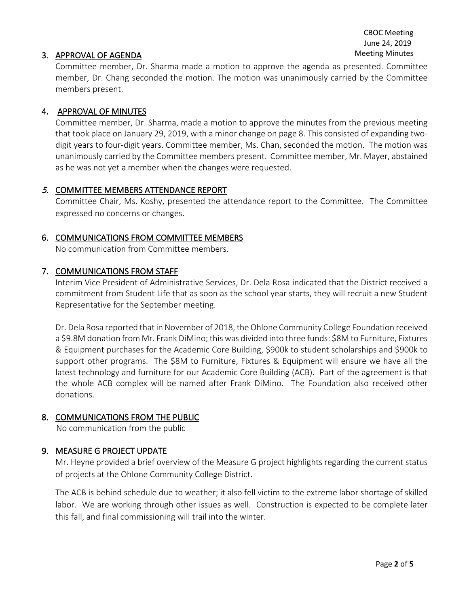### 3. APPROVAL OF AGENDA

Committee member, Dr. Sharma made a motion to approve the agenda as presented. Committee member, Dr. Chang seconded the motion. The motion was unanimously carried by the Committee members present.

### 4. APPROVAL OF MINUTES

Committee member, Dr. Sharma, made a motion to approve the minutes from the previous meeting that took place on January 29, 2019, with a minor change on page 8. This consisted of expanding twodigit years to four-digit years. Committee member, Ms. Chan, seconded the motion. The motion was unanimously carried by the Committee members present. Committee member, Mr. Mayer, abstained as he was not yet a member when the changes were requested.

### 5. COMMITTEE MEMBERS ATTENDANCE REPORT

Committee Chair, Ms. Koshy, presented the attendance report to the Committee. The Committee expressed no concerns or changes.

### 6. COMMUNICATIONS FROM COMMITTEE MEMBERS

No communication from Committee members.

### 7. COMMUNICATIONS FROM STAFF

Interim Vice President of Administrative Services, Dr. Dela Rosa indicated that the District received a commitment from Student Life that as soon as the school year starts, they will recruit a new Student Representative for the September meeting.

Dr. Dela Rosa reported that in November of 2018, the Ohlone Community College Foundation received a \$9.8M donation from Mr. Frank DiMino; this was divided into three funds: \$8M to Furniture, Fixtures & Equipment purchases for the Academic Core Building, \$900k to student scholarships and \$900k to support other programs. The \$8M to Furniture, Fixtures & Equipment will ensure we have all the latest technology and furniture for our Academic Core Building (ACB). Part of the agreement is that the whole ACB complex will be named after Frank DiMino. The Foundation also received other donations.

### 8. COMMUNICATIONS FROM THE PUBLIC

No communication from the public

### 9. MEASURE G PROJECT UPDATE

Mr. Heyne provided a brief overview of the Measure G project highlights regarding the current status of projects at the Ohlone Community College District.

The ACB is behind schedule due to weather; it also fell victim to the extreme labor shortage of skilled labor. We are working through other issues as well. Construction is expected to be complete later this fall, and final commissioning will trail into the winter.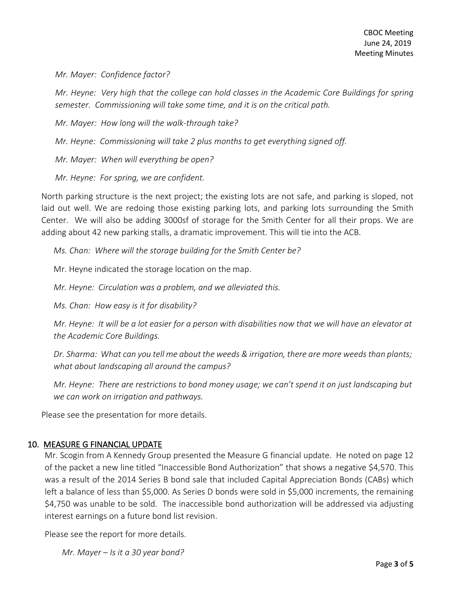*Mr. Mayer: Confidence factor?* 

*Mr. Heyne: Very high that the college can hold classes in the Academic Core Buildings for spring semester. Commissioning will take some time, and it is on the critical path.* 

*Mr. Mayer: How long will the walk-through take?*

*Mr. Heyne: Commissioning will take 2 plus months to get everything signed off.*

*Mr. Mayer: When will everything be open?*

*Mr. Heyne: For spring, we are confident.* 

North parking structure is the next project; the existing lots are not safe, and parking is sloped, not laid out well. We are redoing those existing parking lots, and parking lots surrounding the Smith Center. We will also be adding 3000sf of storage for the Smith Center for all their props. We are adding about 42 new parking stalls, a dramatic improvement. This will tie into the ACB.

*Ms. Chan: Where will the storage building for the Smith Center be?*

Mr. Heyne indicated the storage location on the map.

*Mr. Heyne: Circulation was a problem, and we alleviated this.*

*Ms. Chan: How easy is it for disability?*

*Mr. Heyne: It will be a lot easier for a person with disabilities now that we will have an elevator at the Academic Core Buildings.* 

*Dr. Sharma: What can you tell me about the weeds & irrigation, there are more weeds than plants; what about landscaping all around the campus?*

*Mr. Heyne: There are restrictions to bond money usage; we can't spend it on just landscaping but we can work on irrigation and pathways.*

Please see the presentation for more details.

# 10. MEASURE G FINANCIAL UPDATE

Mr. Scogin from A Kennedy Group presented the Measure G financial update. He noted on page 12 of the packet a new line titled "Inaccessible Bond Authorization" that shows a negative \$4,570. This was a result of the 2014 Series B bond sale that included Capital Appreciation Bonds (CABs) which left a balance of less than \$5,000. As Series D bonds were sold in \$5,000 increments, the remaining \$4,750 was unable to be sold. The inaccessible bond authorization will be addressed via adjusting interest earnings on a future bond list revision.

Please see the report for more details.

*Mr. Mayer – Is it a 30 year bond?*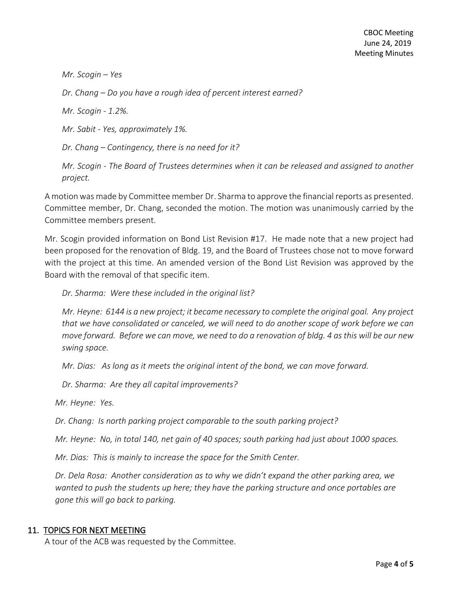*Mr. Scogin – Yes*

*Dr. Chang – Do you have a rough idea of percent interest earned?*

*Mr. Scogin - 1.2%.* 

*Mr. Sabit - Yes, approximately 1%.* 

*Dr. Chang – Contingency, there is no need for it?* 

*Mr. Scogin - The Board of Trustees determines when it can be released and assigned to another project.* 

A motion was made by Committee member Dr. Sharma to approve the financial reports as presented. Committee member, Dr. Chang, seconded the motion. The motion was unanimously carried by the Committee members present.

Mr. Scogin provided information on Bond List Revision #17. He made note that a new project had been proposed for the renovation of Bldg. 19, and the Board of Trustees chose not to move forward with the project at this time. An amended version of the Bond List Revision was approved by the Board with the removal of that specific item.

*Dr. Sharma: Were these included in the original list?* 

*Mr. Heyne: 6144 is a new project; it became necessary to complete the original goal. Any project that we have consolidated or canceled, we will need to do another scope of work before we can move forward. Before we can move, we need to do a renovation of bldg. 4 asthis will be our new swing space.* 

*Mr. Dias: As long as it meets the original intent of the bond, we can move forward.* 

*Dr. Sharma: Are they all capital improvements?*

*Mr. Heyne: Yes.* 

*Dr. Chang: Is north parking project comparable to the south parking project?* 

*Mr. Heyne: No, in total 140, net gain of 40 spaces; south parking had just about 1000 spaces.*

*Mr. Dias: This is mainly to increase the space for the Smith Center.* 

*Dr. Dela Rosa: Another consideration as to why we didn't expand the other parking area, we wanted to push the students up here; they have the parking structure and once portables are gone this will go back to parking.*

#### 11. TOPICS FOR NEXT MEETING

A tour of the ACB was requested by the Committee.